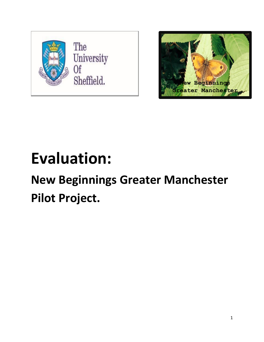



# **Evaluation:**

# **New Beginnings Greater Manchester Pilot Project.**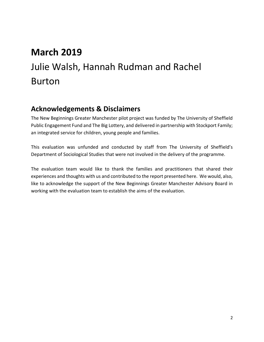# **March 2019** Julie Walsh, Hannah Rudman and Rachel Burton

## **Acknowledgements & Disclaimers**

The New Beginnings Greater Manchester pilot project was funded by The University of Sheffield Public Engagement Fund and The Big Lottery, and delivered in partnership with Stockport Family; an integrated service for children, young people and families.

This evaluation was unfunded and conducted by staff from The University of Sheffield's Department of Sociological Studies that were not involved in the delivery of the programme.

The evaluation team would like to thank the families and practitioners that shared their experiences and thoughts with us and contributed to the report presented here. We would, also, like to acknowledge the support of the New Beginnings Greater Manchester Advisory Board in working with the evaluation team to establish the aims of the evaluation.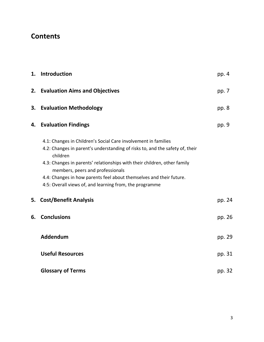# **Contents**

|    | 1. Introduction                                                                                                                                                                                                                                                                                                                                                                                              | pp. 4   |
|----|--------------------------------------------------------------------------------------------------------------------------------------------------------------------------------------------------------------------------------------------------------------------------------------------------------------------------------------------------------------------------------------------------------------|---------|
|    | 2. Evaluation Aims and Objectives                                                                                                                                                                                                                                                                                                                                                                            | pp. 7   |
| 3. | <b>Evaluation Methodology</b>                                                                                                                                                                                                                                                                                                                                                                                | pp. $8$ |
| 4. | <b>Evaluation Findings</b>                                                                                                                                                                                                                                                                                                                                                                                   | pp. 9   |
|    | 4.1: Changes in Children's Social Care involvement in families<br>4.2: Changes in parent's understanding of risks to, and the safety of, their<br>children<br>4.3: Changes in parents' relationships with their children, other family<br>members, peers and professionals<br>4.4: Changes in how parents feel about themselves and their future.<br>4:5: Overall views of, and learning from, the programme |         |
| 5. | <b>Cost/Benefit Analysis</b>                                                                                                                                                                                                                                                                                                                                                                                 | pp. 24  |
| 6. | <b>Conclusions</b>                                                                                                                                                                                                                                                                                                                                                                                           | pp. 26  |
|    | Addendum                                                                                                                                                                                                                                                                                                                                                                                                     | pp. 29  |
|    | <b>Useful Resources</b>                                                                                                                                                                                                                                                                                                                                                                                      | pp. 31  |
|    | <b>Glossary of Terms</b>                                                                                                                                                                                                                                                                                                                                                                                     | pp. 32  |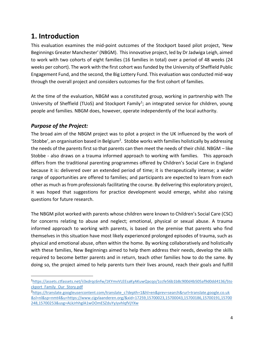# **1. Introduction**

This evaluation examines the mid-point outcomes of the Stockport based pilot project, 'New Beginnings Greater Manchester' (NBGM). This innovative project, led by Dr Jadwiga Leigh, aimed to work with two cohorts of eight families (16 families in total) over a period of 48 weeks (24 weeks per cohort). The work with the first cohort was funded by the University of Sheffield Public Engagement Fund, and the second, the Big Lottery Fund. This evaluation was conducted mid-way through the overall project and considers outcomes for the first cohort of families.

At the time of the evaluation, NBGM was a constituted group, working in partnership with The University of Sheffield (TUoS) and Stockport Family<sup>1</sup>; an integrated service for children, young people and families. NBGM does, however, operate independently of the local authority.

## *Purpose of the Project:*

 $\overline{a}$ 

The broad aim of the NBGM project was to pilot a project in the UK influenced by the work of 'Stobbe', an organisation based in Belgium<sup>2</sup>. Stobbe works with families holistically by addressing the needs of the parents first so that parents can then meet the needs of their child. NBGM – like Stobbe - also draws on a trauma informed approach to working with families. This approach differs from the traditional parenting programmes offered by Children's Social Care in England because it is: delivered over an extended period of time; it is therapeutically intense; a wider range of opportunities are offered to families; and participants are expected to learn from each other as much as from professionals facilitating the course. By delivering this exploratory project, it was hoped that suggestions for practice development would emerge, whilst also raising questions for future research.

The NBGM pilot worked with parents whose children were known to Children's Social Care (CSC) for concerns relating to abuse and neglect; emotional, physical or sexual abuse. A trauma informed approach to working with parents, is based on the premise that parents who find themselves in this situation have most likely experienced prolonged episodes of trauma, such as physical and emotional abuse, often within the home. By working collaboratively and holistically with these families, New Beginnings aimed to help them address their needs, develop the skills required to become better parents and in return, teach other families how to do the same. By doing so, the project aimed to help parents turn their lives around, reach their goals and fulfill

<sup>1</sup>[https://assets.ctfassets.net/ii3xdrqc6nfw/1KYmvVLEEsaKyAKuwQacqo/1ccfe56b1b8c900d4b505af9d0dd4136/Sto](https://assets.ctfassets.net/ii3xdrqc6nfw/1KYmvVLEEsaKyAKuwQacqo/1ccfe56b1b8c900d4b505af9d0dd4136/Stockport_Family_Our_Story.pdf) [ckport\\_Family\\_Our\\_Story.pdf](https://assets.ctfassets.net/ii3xdrqc6nfw/1KYmvVLEEsaKyAKuwQacqo/1ccfe56b1b8c900d4b505af9d0dd4136/Stockport_Family_Our_Story.pdf)

<sup>2</sup>[https://translate.googleusercontent.com/translate\\_c?depth=1&hl=en&prev=search&rurl=translate.google.co.uk](https://translate.googleusercontent.com/translate_c?depth=1&hl=en&prev=search&rurl=translate.google.co.uk&sl=nl&sp=nmt4&u=https://www.cigvlaanderen.org/&xid=17259,15700023,15700043,15700186,15700191,15700248,15700253&usg=ALkJrhhglA1wOOmESZduYyJyvhlqfVjYXw) [&sl=nl&sp=nmt4&u=https://www.cigvlaanderen.org/&xid=17259,15700023,15700043,15700186,15700191,15700](https://translate.googleusercontent.com/translate_c?depth=1&hl=en&prev=search&rurl=translate.google.co.uk&sl=nl&sp=nmt4&u=https://www.cigvlaanderen.org/&xid=17259,15700023,15700043,15700186,15700191,15700248,15700253&usg=ALkJrhhglA1wOOmESZduYyJyvhlqfVjYXw) [248,15700253&usg=ALkJrhhglA1wOOmESZduYyJyvhlqfVjYXw](https://translate.googleusercontent.com/translate_c?depth=1&hl=en&prev=search&rurl=translate.google.co.uk&sl=nl&sp=nmt4&u=https://www.cigvlaanderen.org/&xid=17259,15700023,15700043,15700186,15700191,15700248,15700253&usg=ALkJrhhglA1wOOmESZduYyJyvhlqfVjYXw)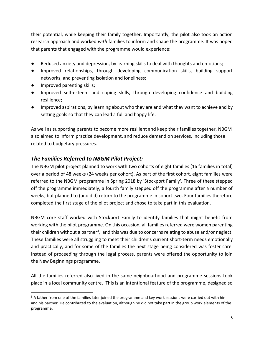their potential, while keeping their family together. Importantly, the pilot also took an action research approach and worked *with* families to inform and shape the programme. It was hoped that parents that engaged with the programme would experience:

- Reduced anxiety and depression, by learning skills to deal with thoughts and emotions;
- Improved relationships, through developing communication skills, building support networks, and preventing isolation and loneliness;
- Improved parenting skills;

l

- Improved self-esteem and coping skills, through developing confidence and building resilience;
- Improved aspirations, by learning about who they are and what they want to achieve and by setting goals so that they can lead a full and happy life.

As well as supporting parents to become more resilient and keep their families together, NBGM also aimed to inform practice development, and reduce demand on services, including those related to budgetary pressures.

## *The Families Referred to NBGM Pilot Project:*

The NBGM pilot project planned to work with two cohorts of eight families (16 families in total) over a period of 48 weeks (24 weeks per cohort). As part of the first cohort, eight families were referred to the NBGM programme in Spring 2018 by 'Stockport Family'. Three of these stepped off the programme immediately, a fourth family stepped off the programme after a number of weeks, but planned to (and did) return to the programme in cohort two. Four families therefore completed the first stage of the pilot project and chose to take part in this evaluation.

NBGM core staff worked with Stockport Family to identify families that might benefit from working with the pilot programme. On this occasion, all families referred were women parenting their children without a partner<sup>3</sup>, and this was due to concerns relating to abuse and/or neglect. These families were all struggling to meet their children's current short-term needs emotionally and practically, and for some of the families the next stage being considered was foster care. Instead of proceeding through the legal process, parents were offered the opportunity to join the New Beginnings programme.

All the families referred also lived in the same neighbourhood and programme sessions took place in a local community centre. This is an intentional feature of the programme, designed so

<sup>&</sup>lt;sup>3</sup> A father from one of the families later joined the programme and key work sessions were carried out with him and his partner. He contributed to the evaluation, although he did not take part in the group work elements of the programme.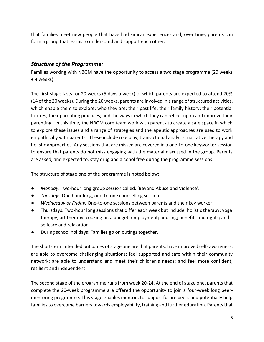that families meet new people that have had similar experiences and, over time, parents can form a group that learns to understand and support each other.

### *Structure of the Programme:*

Families working with NBGM have the opportunity to access a two stage programme (20 weeks + 4 weeks).

The first stage lasts for 20 weeks (5 days a week) of which parents are expected to attend 70% (14 of the 20 weeks). During the 20 weeks, parents are involved in a range of structured activities, which enable them to explore: who they are; their past life; their family history; their potential futures; their parenting practices; and the ways in which they can reflect upon and improve their parenting. In this time, the NBGM core team work with parents to create a safe space in which to explore these issues and a range of strategies and therapeutic approaches are used to work empathically with parents. These include role play, transactional analysis, narrative therapy and holistic approaches. Any sessions that are missed are covered in a one-to-one keyworker session to ensure that parents do not miss engaging with the material discussed in the group. Parents are asked, and expected to, stay drug and alcohol free during the programme sessions.

The structure of stage one of the programme is noted below:

- *Monday*: Two-hour long group session called, 'Beyond Abuse and Violence'.
- *Tuesday*: One hour long, one-to-one counselling session.
- *Wednesday or Friday:* One-to-one sessions between parents and their key worker.
- Thursdays: Two-hour long sessions that differ each week but include: holistic therapy; yoga therapy; art therapy; cooking on a budget; employment; housing; benefits and rights; and selfcare and relaxation.
- During school holidays: Families go on outings together.

The short-term intended outcomes of stage one are that parents: have improved self- awareness; are able to overcome challenging situations; feel supported and safe within their community network; are able to understand and meet their children's needs; and feel more confident, resilient and independent

The second stage of the programme runs from week 20-24. At the end of stage one, parents that complete the 20-week programme are offered the opportunity to join a four-week long peermentoring programme. This stage enables mentors to support future peers and potentially help families to overcome barriers towards employability, training and further education. Parents that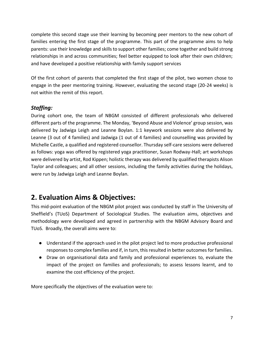complete this second stage use their learning by becoming peer mentors to the new cohort of families entering the first stage of the programme. This part of the programme aims to help parents: use their knowledge and skills to support other families; come together and build strong relationships in and across communities; feel better equipped to look after their own children; and have developed a positive relationship with family support services

Of the first cohort of parents that completed the first stage of the pilot, two women chose to engage in the peer mentoring training. However, evaluating the second stage (20-24 weeks) is not within the remit of this report.

## *Staffing:*

During cohort one, the team of NBGM consisted of different professionals who delivered different parts of the programme. The Monday, 'Beyond Abuse and Violence' group session, was delivered by Jadwiga Leigh and Leanne Boylan. 1:1 keywork sessions were also delivered by Leanne (3 out of 4 families) and Jadwiga (1 out of 4 families) and counselling was provided by Michelle Castle, a qualified and registered counsellor. Thursday self-care sessions were delivered as follows: yoga was offered by registered yoga practitioner, Susan Rodway-Hall; art workshops were delivered by artist, Rod Kippen; holistic therapy was delivered by qualified therapists Alison Taylor and colleagues; and all other sessions, including the family activities during the holidays, were run by Jadwiga Leigh and Leanne Boylan.

# **2. Evaluation Aims & Objectives:**

This mid-point evaluation of the NBGM pilot project was conducted by staff in The University of Sheffield's (TUoS) Department of Sociological Studies. The evaluation aims, objectives and methodology were developed and agreed in partnership with the NBGM Advisory Board and TUoS. Broadly, the overall aims were to:

- Understand if the approach used in the pilot project led to more productive professional responses to complex families and if, in turn, this resulted in better outcomes for families.
- Draw on organisational data and family and professional experiences to, evaluate the impact of the project on families and professionals; to assess lessons learnt, and to examine the cost efficiency of the project.

More specifically the objectives of the evaluation were to: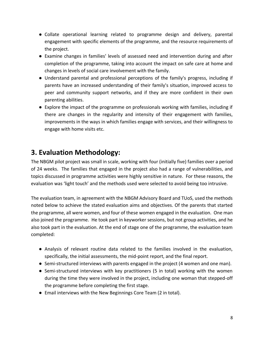- Collate operational learning related to programme design and delivery, parental engagement with specific elements of the programme, and the resource requirements of the project.
- Examine changes in families' levels of assessed need and intervention during and after completion of the programme, taking into account the impact on safe care at home and changes in levels of social care involvement with the family.
- Understand parental and professional perceptions of the family's progress, including if parents have an increased understanding of their family's situation, improved access to peer and community support networks, and if they are more confident in their own parenting abilities.
- Explore the impact of the programme on professionals working with families, including if there are changes in the regularity and intensity of their engagement with families, improvements in the ways in which families engage with services, and their willingness to engage with home visits etc.

# **3. Evaluation Methodology:**

The NBGM pilot project was small in scale, working with four (initially five) families over a period of 24 weeks. The families that engaged in the project also had a range of vulnerabilities, and topics discussed in programme activities were highly sensitive in nature. For these reasons, the evaluation was 'light touch' and the methods used were selected to avoid being too intrusive.

The evaluation team, in agreement with the NBGM Advisory Board and TUoS, used the methods noted below to achieve the stated evaluation aims and objectives. Of the parents that started the programme, all were women, and four of these women engaged in the evaluation. One man also joined the programme. He took part in keyworker sessions, but not group activities, and he also took part in the evaluation. At the end of stage one of the programme, the evaluation team completed:

- Analysis of relevant routine data related to the families involved in the evaluation, specifically, the initial assessments, the mid-point report, and the final report.
- Semi-structured interviews with parents engaged in the project (4 women and one man).
- Semi-structured interviews with key practitioners (5 in total) working with the women during the time they were involved in the project, including one woman that stepped-off the programme before completing the first stage.
- Email interviews with the New Beginnings Core Team (2 in total).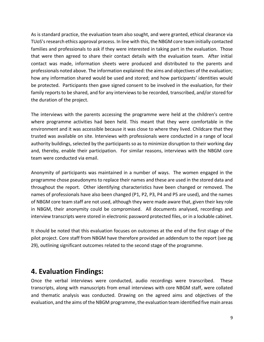As is standard practice, the evaluation team also sought, and were granted, ethical clearance via TUoS's research ethics approval process. In line with this, the NBGM core team initially contacted families and professionals to ask if they were interested in taking part in the evaluation. Those that were then agreed to share their contact details with the evaluation team. After initial contact was made, information sheets were produced and distributed to the parents and professionals noted above. The information explained: the aims and objectives of the evaluation; how any information shared would be used and stored; and how participants' identities would be protected. Participants then gave signed consent to be involved in the evaluation, for their family reports to be shared, and for any interviews to be recorded, transcribed, and/or stored for the duration of the project.

The interviews with the parents accessing the programme were held at the children's centre where programme activities had been held. This meant that they were comfortable in the environment and it was accessible because it was close to where they lived. Childcare that they trusted was available on site. Interviews with professionals were conducted in a range of local authority buildings, selected by the participants so as to minimize disruption to their working day and, thereby, enable their participation. For similar reasons, interviews with the NBGM core team were conducted via email.

Anonymity of participants was maintained in a number of ways. The women engaged in the programme chose pseudonyms to replace their names and these are used in the stored data and throughout the report. Other identifying characteristics have been changed or removed. The names of professionals have also been changed (P1, P2, P3, P4 and P5 are used), and the names of NBGM core team staff are not used, although they were made aware that, given their key role in NBGM, their anonymity could be compromised. All documents analysed, recordings and interview transcripts were stored in electronic password protected files, or in a lockable cabinet.

It should be noted that this evaluation focuses on outcomes at the end of the first stage of the pilot project. Core staff from NBGM have therefore provided an addendum to the report (see pg 29), outlining significant outcomes related to the second stage of the programme.

## **4. Evaluation Findings:**

Once the verbal interviews were conducted, audio recordings were transcribed. These transcripts, along with manuscripts from email interviews with core NBGM staff, were collated and thematic analysis was conducted. Drawing on the agreed aims and objectives of the evaluation, and the aims of the NBGM programme, the evaluation team identified five main areas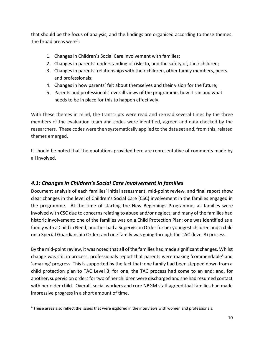that should be the focus of analysis, and the findings are organised according to these themes. The broad areas were<sup>4</sup>:

- 1. Changes in Children's Social Care involvement with families;
- 2. Changes in parents' understanding of risks to, and the safety of, their children;
- 3. Changes in parents' relationships with their children, other family members, peers and professionals;
- 4. Changes in how parents' felt about themselves and their vision for the future;
- 5. Parents and professionals' overall views of the programme, how it ran and what needs to be in place for this to happen effectively.

With these themes in mind, the transcripts were read and re-read several times by the three members of the evaluation team and codes were identified, agreed and data checked by the researchers. These codes were then systematically applied to the data set and, from this, related themes emerged.

It should be noted that the quotations provided here are representative of comments made by all involved.

## *4.1: Changes in Children's Social Care involvement in families*

Document analysis of each families' initial assessment, mid-point review, and final report show clear changes in the level of Children's Social Care (CSC) involvement in the families engaged in the programme. At the time of starting the New Beginnings Programme, all families were involved with CSC due to concerns relating to abuse and/or neglect, and many of the families had historic involvement; one of the families was on a Child Protection Plan; one was identified as a family with a Child in Need; another had a Supervision Order for her youngest children and a child on a Special Guardianship Order; and one family was going through the TAC (level 3) process.

By the mid-point review, it was noted that all of the families had made significant changes. Whilst change was still in process, professionals report that parents were making 'commendable' and 'amazing' progress. This is supported by the fact that: one family had been stepped down from a child protection plan to TAC Level 3; for one, the TAC process had come to an end; and, for another, supervision orders for two of her children were discharged and she had resumed contact with her older child. Overall, social workers and core NBGM staff agreed that families had made impressive progress in a short amount of time.

 $\overline{a}$ 

<sup>4</sup> These areas also reflect the issues that were explored in the interviews with women and professionals.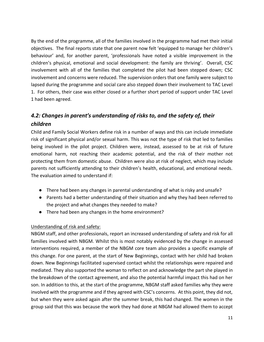By the end of the programme, all of the families involved in the programme had met their initial objectives. The final reports state that one parent now felt 'equipped to manage her children's behaviour' and, for another parent, 'professionals have noted a visible improvement in the children's physical, emotional and social development: the family are thriving'. Overall, CSC involvement with all of the families that completed the pilot had been stepped down; CSC involvement and concerns were reduced. The supervision orders that one family were subject to lapsed during the programme and social care also stepped down their involvement to TAC Level 1. For others, their case was either closed or a further short period of support under TAC Level 1 had been agreed.

## *4.2: Changes in parent's understanding of risks to, and the safety of, their children*

Child and Family Social Workers define risk in a number of ways and this can include immediate risk of significant physical and/or sexual harm. This was not the type of risk that led to families being involved in the pilot project. Children were, instead, assessed to be at risk of future emotional harm, not reaching their academic potential, and the risk of their mother not protecting them from domestic abuse. Children were also at risk of neglect, which may include parents not sufficiently attending to their children's health, educational, and emotional needs. The evaluation aimed to understand if:

- There had been any changes in parental understanding of what is risky and unsafe?
- Parents had a better understanding of their situation and why they had been referred to the project and what changes they needed to make?
- There had been any changes in the home environment?

#### Understanding of risk and safety:

NBGM staff, and other professionals, report an increased understanding of safety and risk for all families involved with NBGM. Whilst this is most notably evidenced by the change in assessed interventions required, a member of the NBGM core team also provides a specific example of this change. For one parent, at the start of New Beginnings, contact with her child had broken down. New Beginnings facilitated supervised contact whilst the relationships were repaired and mediated. They also supported the woman to reflect on and acknowledge the part she played in the breakdown of the contact agreement, and also the potential harmful impact this had on her son. In addition to this, at the start of the programme, NBGM staff asked families why they were involved with the programme and if they agreed with CSC's concerns. At this point, they did not, but when they were asked again after the summer break, this had changed. The women in the group said that this was because the work they had done at NBGM had allowed them to accept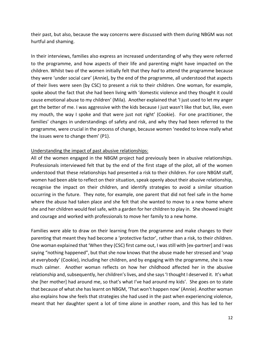their past, but also, because the way concerns were discussed with them during NBGM was not hurtful and shaming.

In their interviews, families also express an increased understanding of why they were referred to the programme, and how aspects of their life and parenting might have impacted on the children. Whilst two of the women initially felt that they *had* to attend the programme because they were 'under social care' (Annie), by the end of the programme, all understood that aspects of their lives were seen (by CSC) to present a risk to their children. One woman, for example, spoke about the fact that she had been living with 'domestic violence and they thought it could cause emotional abuse to my children' (Mila). Another explained that 'I just used to let my anger get the better of me. I was aggressive with the kids because I just wasn't like that but, like, even my mouth, the way I spoke and that were just not right' (Cookie). For one practitioner, the families' changes in understandings of safety and risk, and why they had been referred to the programme, were crucial in the process of change, because women 'needed to know really what the issues were to change them' (P1).

#### Understanding the impact of past abusive relationships:

All of the women engaged in the NBGM project had previously been in abusive relationships. Professionals interviewed felt that by the end of the first stage of the pilot, all of the women understood that these relationships had presented a risk to their children. For core NBGM staff, women had been able to reflect on their situation, speak openly about their abusive relationship, recognise the impact on their children, and identify strategies to avoid a similar situation occurring in the future. They note, for example, one parent that did not feel safe in the home where the abuse had taken place and she felt that she wanted to move to a new home where she and her children would feel safe, with a garden for her children to play in. She showed insight and courage and worked with professionals to move her family to a new home.

Families were able to draw on their learning from the programme and make changes to their parenting that meant they had become a 'protective factor', rather than a risk, to their children. One woman explained that 'When they (CSC) first came out, I was still with [ex-partner] and I was saying "nothing happened", but that she now knows that the abuse made her stressed and 'snap at everybody' (Cookie), including her children, and by engaging with the programme, she is now much calmer. Another woman reflects on how her childhood affected her in the abusive relationship and, subsequently, her children's lives, and she says 'I thought I deserved it. It's what she [her mother] had around me, so that's what I've had around my kids'. She goes on to state that because of what she has learnt on NBGM, 'That won't happen now' (Annie). Another woman also explains how she feels that strategies she had used in the past when experiencing violence, meant that her daughter spent a lot of time alone in another room, and this has led to her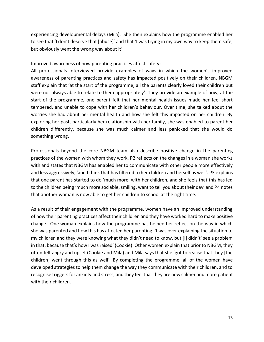experiencing developmental delays (Mila). She then explains how the programme enabled her to see that 'I don't deserve that [abuse]' and that 'I was trying in my own way to keep them safe, but obviously went the wrong way about it'.

#### Improved awareness of how parenting practices affect safety:

All professionals interviewed provide examples of ways in which the women's improved awareness of parenting practices and safety has impacted positively on their children. NBGM staff explain that 'at the start of the programme, all the parents clearly loved their children but were not always able to relate to them appropriately'. They provide an example of how, at the start of the programme, one parent felt that her mental health issues made her feel short tempered, and unable to cope with her children's behaviour. Over time, she talked about the worries she had about her mental health and how she felt this impacted on her children. By exploring her past, particularly her relationship with her family, she was enabled to parent her children differently, because she was much calmer and less panicked that she would do something wrong.

Professionals beyond the core NBGM team also describe positive change in the parenting practices of the women with whom they work. P2 reflects on the changes in a woman she works with and states that NBGM has enabled her to communicate with other people more effectively and less aggressively, 'and I think that has filtered to her children and herself as well'. P3 explains that one parent has started to do 'much more' with her children, and she feels that this has led to the children being 'much more sociable, smiling, want to tell you about their day' and P4 notes that another woman is now able to get her children to school at the right time.

As a result of their engagement with the programme, women have an improved understanding of how their parenting practices affect their children and they have worked hard to make positive change. One woman explains how the programme has helped her reflect on the way in which she was parented and how this has affected her parenting: 'I was over explaining the situation to my children and they were knowing what they didn't need to know, but [I] didn't' see a problem in that, because that's how I was raised' (Cookie). Other women explain that prior to NBGM, they often felt angry and upset (Cookie and Mila) and Mila says that she 'got to realise that they [the children] went through this as well'. By completing the programme, all of the women have developed strategies to help them change the way they communicate with their children, and to recognise triggers for anxiety and stress, and they feel that they are now calmer and more patient with their children.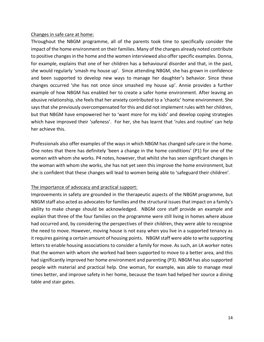#### Changes in safe care at home:

Throughout the NBGM programme, all of the parents took time to specifically consider the impact of the home environment on their families. Many of the changes already noted contribute to positive changes in the home and the women interviewed also offer specific examples. Donna, for example, explains that one of her children has a behavioural disorder and that, in the past, she would regularly 'smash my house up'. Since attending NBGM, she has grown in confidence and been supported to develop new ways to manage her daughter's behavior. Since these changes occurred 'she has not once since smashed my house up'. Annie provides a further example of how NBGM has enabled her to create a safer home environment. After leaving an abusive relationship, she feels that her anxiety contributed to a 'chaotic' home environment. She says that she previously overcompensated for this and did not implement rules with her children, but that NBGM have empowered her to 'want more for my kids' and develop coping strategies which have improved their 'safeness'. For her, she has learnt that 'rules and routine' can help her achieve this.

Professionals also offer examples of the ways in which NBGM has changed safe care in the home. One notes that there has definitely 'been a change in the home conditions' (P1) for one of the women with whom she works. P4 notes, however, that whilst she has seen significant changes in the woman with whom she works, she has not yet seen this improve the home environment, but she is confident that these changes will lead to women being able to 'safeguard their children'.

#### The importance of advocacy and practical support:

Improvements in safety are grounded in the therapeutic aspects of the NBGM programme, but NBGM staff also acted as advocates for families and the structural issues that impact on a family's ability to make change should be acknowledged. NBGM core staff provide an example and explain that three of the four families on the programme were still living in homes where abuse had occurred and, by considering the perspectives of their children, they were able to recognise the need to move. However, moving house is not easy when you live in a supported tenancy as it requires gaining a certain amount of housing points. NBGM staff were able to write supporting letters to enable housing associations to consider a family for move. As such, an LA worker notes that the women with whom she worked had been supported to move to a better area, and this had significantly improved her home environment and parenting (P3). NBGM has also supported people with material and practical help. One woman, for example, was able to manage meal times better, and improve safety in her home, because the team had helped her source a dining table and stair gates.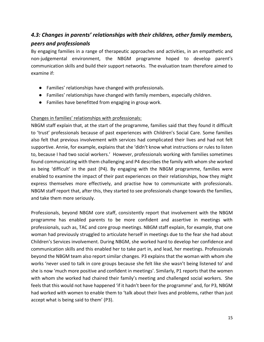## *4.3: Changes in parents' relationships with their children, other family members, peers and professionals*

By engaging families in a range of therapeutic approaches and activities, in an empathetic and non-judgemental environment, the NBGM programme hoped to develop parent's communication skills and build their support networks. The evaluation team therefore aimed to examine if:

- Families' relationships have changed with professionals.
- Families' relationships have changed with family members, especially children.
- Families have benefitted from engaging in group work.

#### Changes in families' relationships with professionals:

NBGM staff explain that, at the start of the programme, families said that they found it difficult to 'trust' professionals because of past experiences with Children's Social Care. Some families also felt that previous involvement with services had complicated their lives and had not felt supportive. Annie, for example, explains that she 'didn't know what instructions or rules to listen to, because I had two social workers.' However, professionals working with families sometimes found communicating with them challenging and P4 describes the family with whom she worked as being 'difficult' in the past (P4). By engaging with the NBGM programme, families were enabled to examine the impact of their past experiences on their relationships, how they might express themselves more effectively, and practise how to communicate with professionals. NBGM staff report that, after this, they started to see professionals change towards the families, and take them more seriously.

Professionals, beyond NBGM core staff, consistently report that involvement with the NBGM programme has enabled parents to be more confident and assertive in meetings with professionals, such as, TAC and core group meetings. NBGM staff explain, for example, that one woman had previously struggled to articulate herself in meetings due to the fear she had about Children's Services involvement. During NBGM, she worked hard to develop her confidence and communication skills and this enabled her to take part in, and lead, her meetings. Professionals beyond the NBGM team also report similar changes. P3 explains that the woman with whom she works 'never used to talk in core groups because she felt like she wasn't being listened to' and she is now 'much more positive and confident in meetings'. Similarly, P1 reports that the women with whom she worked had chaired their family's meeting and challenged social workers. She feels that this would not have happened 'if it hadn't been for the programme' and, for P3, NBGM had worked with women to enable them to 'talk about their lives and problems, rather than just accept what is being said to them' (P3).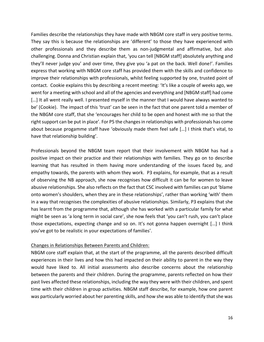Families describe the relationships they have made with NBGM core staff in very positive terms. They say this is because the relationships are 'different' to those they have experienced with other professionals and they describe them as non-judgmental and affirmative, but also challenging. Donna and Christian explain that, 'you can tell [NBGM staff] absolutely anything and they'll never judge you' and over time, they give you 'a pat on the back. Well done!'. Families express that working with NBGM core staff has provided them with the skills and confidence to improve their relationships with professionals, whilst feeling supported by one, trusted point of contact. Cookie explains this by describing a recent meeting: 'It's like a couple of weeks ago, we went for a meeting with school and all of the agencies and everything and [NBGM staff] had come [...] It all went really well. I presented myself in the manner that I would have always wanted to be' (Cookie). The impact of this 'trust' can be seen in the fact that one parent told a member of the NBGM core staff, that she 'encourages her child to be open and honest with me so that the right support can be put in place'. For P5 the changes in relationships with professionals has come about because progamme staff have 'obviously made them feel safe […] I think that's vital, to have that relationship building'.

Professionals beyond the NBGM team report that their involvement with NBGM has had a positive impact on their practice and their relationships with families. They go on to describe learning that has resulted in them having more understanding of the issues faced by, and empathy towards, the parents with whom they work. P3 explains, for example, that as a result of observing the NB approach, she now recognises how difficult it can be for women to leave abusive relationships. She also reflects on the fact that CSC involved with families can put 'blame onto women's shoulders, when they are in these relationships', rather than working 'with' them in a way that recognises the complexities of abusive relationships. Similarly, P3 explains that she has learnt from the programme that, although she has worked with a particular family for what might be seen as 'a long term in social care', she now feels that 'you can't rush, you can't place those expectations, expecting change and so on. It's not gonna happen overnight […] I think you've got to be realistic in your expectations of families'.

#### Changes in Relationships Between Parents and Children:

NBGM core staff explain that, at the start of the programme, all the parents described difficult experiences in their lives and how this had impacted on their ability to parent in the way they would have liked to. All initial assessments also describe concerns about the relationship between the parents and their children. During the programme, parents reflected on how their past lives affected these relationships, including the way they were with their children, and spent time with their children in group activities. NBGM staff describe, for example, how one parent was particularly worried about her parenting skills, and how she was able to identify that she was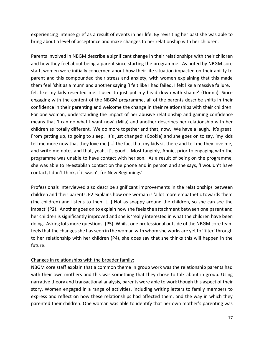experiencing intense grief as a result of events in her life. By revisiting her past she was able to bring about a level of acceptance and make changes to her relationship with her children.

Parents involved in NBGM describe a significant change in their relationships with their children and how they feel about being a parent since starting the programme. As noted by NBGM core staff, women were initially concerned about how their life situation impacted on their ability to parent and this compounded their stress and anxiety, with women explaining that this made them feel 'shit as a mum' and another saying 'I felt like I had failed, I felt like a massive failure. I felt like my kids resented me. I used to just put my head down with shame' (Donna). Since engaging with the content of the NBGM programme, all of the parents describe shifts in their confidence in their parenting and welcome the change in their relationships with their children. For one woman, understanding the impact of her abusive relationship and gaining confidence means that 'I can do what I want now' (Mila) and another describes her relationship with her children as 'totally different. We do more together and that, now. We have a laugh. It's great. From getting up, to going to sleep. It's just changed' (Cookie) and she goes on to say, 'my kids tell me more now that they love me […] the fact that my kids sit there and tell me they love me, and write me notes and that, yeah, it's good'. Most tangibly, Annie, prior to engaging with the programme was unable to have contact with her son. As a result of being on the programme, she was able to re-establish contact on the phone and in person and she says, 'I wouldn't have contact, I don't think, if it wasn't for New Beginnings'.

Professionals interviewed also describe significant improvements in the relationships between children and their parents. P2 explains how one woman is 'a lot more empathetic towards them (the children) and listens to them […] Not as snappy around the children, so she can see the impact' (P2). Another goes on to explain how she feels the attachment between one parent and her children is significantly improved and she is 'really interested in what the children have been doing. Asking lots more questions' (P5). Whilst one professional outside of the NBGM core team feels that the changes she has seen in the woman with whom she works are yet to 'filter' through to her relationship with her children (P4), she does say that she thinks this will happen in the future.

#### Changes in relationships with the broader family:

NBGM core staff explain that a common theme in group work was the relationship parents had with their own mothers and this was something that they chose to talk about in group. Using narrative theory and transactional analysis, parents were able to work though this aspect of their story. Women engaged in a range of activities, including writing letters to family members to express and reflect on how these relationships had affected them, and the way in which they parented their children. One woman was able to identify that her own mother's parenting was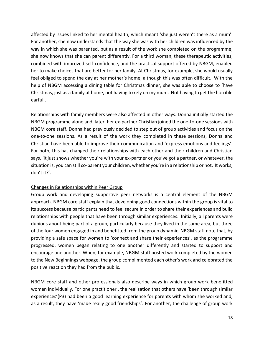affected by issues linked to her mental health, which meant 'she just weren't there as a mum'. For another, she now understands that the way she was with her children was influenced by the way in which she was parented, but as a result of the work she completed on the programme, she now knows that she can parent differently. For a third woman, these therapeutic activities, combined with improved self-confidence, and the practical support offered by NBGM, enabled her to make choices that are better for her family. At Christmas, for example, she would usually feel obliged to spend the day at her mother's home, although this was often difficult. With the help of NBGM accessing a dining table for Christmas dinner, she was able to choose to 'have Christmas, just as a family at home, not having to rely on my mum. Not having to get the horrible earful'.

Relationships with family members were also affected in other ways. Donna initially started the NBGM programme alone and, later, her ex-partner Christian joined the one-to-one sessions with NBGM core staff. Donna had previously decided to step out of group activities and focus on the one-to-one sessions. As a result of the work they completed in these sessions, Donna and Christian have been able to improve their communication and 'express emotions and feelings'. For both, this has changed their relationships with each other and their children and Christian says, 'It just shows whether you're with your ex-partner or you've got a partner, or whatever, the situation is, you can still co-parent your children, whether you're in a relationship or not. It works, don't it?'.

#### Changes in Relationships within Peer Group

Group work and developing supportive peer networks is a central element of the NBGM approach. NBGM core staff explain that developing good connections within the group is vital to its success because participants need to feel secure in order to share their experiences and build relationships with people that have been through similar experiences. Initially, all parents were dubious about being part of a group, particularly because they lived in the same area, but three of the four women engaged in and benefitted from the group dynamic. NBGM staff note that, by providing a safe space for women to 'connect and share their experiences', as the programme progressed, women began relating to one another differently and started to support and encourage one another. When, for example, NBGM staff posted work completed by the women to the New Beginnings webpage, the group complimented each other's work and celebrated the positive reaction they had from the public.

NBGM core staff and other professionals also describe ways in which group work benefitted women individually. For one practitioner , the realisation that others have 'been through similar experiences'(P3) had been a good learning experience for parents with whom she worked and, as a result, they have 'made really good friendships'. For another, the challenge of group work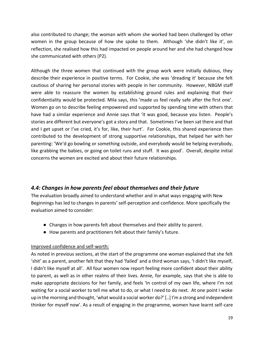also contributed to change; the woman with whom she worked had been challenged by other women in the group because of how she spoke to them. Although 'she didn't like it', on reflection, she realised how this had impacted on people around her and she had changed how she communicated with others (P2).

Although the three women that continued with the group work were initially dubious, they describe their experience in positive terms. For Cookie, she was 'dreading it' because she felt cautious of sharing her personal stories with people in her community. However, NBGM staff were able to reassure the women by establishing ground rules and explaining that their confidentiality would be protected. Mila says, this 'made us feel really safe after the first one'. Women go on to describe feeling empowered and supported by spending time with others that have had a similar experience and Annie says that 'it was good, because you listen. People's stories are different but everyone's got a story and that. Sometimes I've been sat there and that and I get upset or I've cried, it's for, like, their hurt'. For Cookie, this shared experience then contributed to the development of strong supportive relationships, that helped her with her parenting: 'We'd go bowling or something outside, and everybody would be helping everybody, like grabbing the babies, or going on toilet runs and stuff. It was good'. Overall, despite initial concerns the women are excited and about their future relationships.

## *4.4: Changes in how parents feel about themselves and their future*

The evaluation broadly aimed to understand whether and in what ways engaging with New Beginnings has led to changes in parents' self-perception and confidence. More specifically the evaluation aimed to consider:

- Changes in how parents felt about themselves and their ability to parent.
- How parents and practitioners felt about their family's future.

#### Improved confidence and self-worth:

As noted in previous sections, at the start of the programme one woman explained that she felt 'shit' as a parent, another felt that they had 'failed' and a third woman says, 'I didn't like myself, I didn't like myself at all'. All four women now report feeling more confident about their ability to parent, as well as in other realms of their lives. Annie, for example, says that she is able to make appropriate decisions for her family, and feels 'In control of my own life, where I'm not waiting for a social worker to tell me what to do, or what I need to do next. At one point I woke up in the morning and thought, 'what would a social worker do?' [..] I'm a strong and independent thinker for myself now'. As a result of engaging in the programme, women have learnt self-care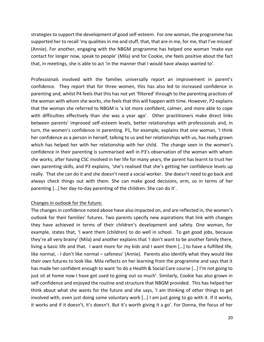strategies to support the development of good self-esteem. For one woman, the programme has supported her to recall 'my qualities in me and stuff, that, that are in me, for me, that I've missed' (Annie). For another, engaging with the NBGM programme has helped one woman 'make eye contact for longer now, speak to people' (Mila) and for Cookie, she feels positive about the fact that, in meetings, she is able to act 'in the manner that I would have always wanted to'.

Professionals involved with the families universally report an improvement in parent's confidence. They report that for three women, this has also led to increased confidence in parenting and, whilst P4 feels that this has not yet 'filtered' through to the parenting practices of the woman with whom she works, she feels that this will happen with time. However, P2 explains that the woman she referred to NBGM is 'a lot more confident, calmer, and more able to cope with difficulties effectively than she was a year ago'. Other practitioners make direct links between parents' improved self-esteem levels, better relationships with professionals and, in turn, the women's confidence in parenting. P1, for example, explains that one woman, 'I think her confidence as a person in herself, talking to us and her relationships with us, has really grown which has helped her with her relationship with her child. The change seen in the women's confidence in their parenting is summarised well in P3's observation of the woman with whom she works; after having CSC involved in her life for many years, the parent has learnt to trust her own parenting skills, and P3 explains, 'she's realised that she's getting her confidence levels up really. That she can do it and she doesn't need a social worker. She doesn't need to go back and always check things out with them. She can make good decisions, erm, so in terms of her parenting […] her day-to-day parenting of the children. She can do it'.

#### Changes in outlook for the future:

The changes in confidence noted above have also impacted on, and are reflected in, the women's outlook for their families' futures. Two parents specify new aspirations that link with changes they have achieved in terms of their children's development and safety. One woman, for example, states that, 'I want them [children] to do well in school. To get good jobs, because they're all very brainy' (Mila) and another explains that 'I don't want to be another family there, living a basic life and that. I want more for my kids and I want them […] to have a fulfilled life, like normal, - I don't like normal – safeness' (Annie). Parents also identify what they would like their own futures to look like. Mila reflects on her learning from the programme and says that it has made her confident enough to want 'to do a Health & Social Care course […] I'm not going to just sit at home now I have got used to going out so much'. Similarly, Cookie has also grown in self-confidence and enjoyed the routine and structure that NBGM provided. This has helped her think about what she wants for the future and she says, 'I am thinking of other things to get involved with, even just doing some voluntary work […] I am just going to go with it. If it works, it works and if it doesn't, it's doesn't. But it's worth giving it a go'. For Donna, the focus of her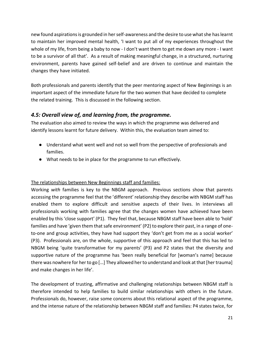new found aspirations is grounded in her self-awareness and the desire to use what she has learnt to maintain her improved mental health, 'I want to put all of my experiences throughout the whole of my life, from being a baby to now - I don't want them to get me down any more - I want to be a survivor of all that'. As a result of making meaningful change, in a structured, nurturing environment, parents have gained self-belief and are driven to continue and maintain the changes they have initiated.

Both professionals and parents identify that the peer mentoring aspect of New Beginnings is an important aspect of the immediate future for the two women that have decided to complete the related training. This is discussed in the following section.

## *4.5: Overall view of, and learning from, the programme.*

The evaluation also aimed to review the ways in which the programme was delivered and identify lessons learnt for future delivery. Within this, the evaluation team aimed to:

- Understand what went well and not so well from the perspective of professionals and families.
- What needs to be in place for the programme to run effectively.

### The relationships between New Beginnings staff and families:

Working *with* families is key to the NBGM approach. Previous sections show that parents accessing the programme feel that the 'different' relationship they describe with NBGM staff has enabled them to explore difficult and sensitive aspects of their lives. In interviews all professionals working with families agree that the changes women have achieved have been enabled by this 'close support' (P1). They feel that, because NBGM staff have been able to 'hold' families and have 'given them that safe environment' (P2) to explore their past, in a range of oneto-one and group activities, they have had support they 'don't get from me as a social worker' (P3). Professionals are, on the whole, supportive of this approach and feel that this has led to NBGM being 'quite transformative for my parents' (P3) and P2 states that the diversity and supportive nature of the programme has 'been really beneficial for [woman's name] because there was nowhere for her to go […] They allowed her to understand and look at that [her trauma] and make changes in her life'.

The development of trusting, affirmative and challenging relationships between NBGM staff is therefore intended to help families to build similar relationships with others in the future. Professionals do, however, raise some concerns about this relational aspect of the programme, and the intense nature of the relationship between NBGM staff and families: P4 states twice, for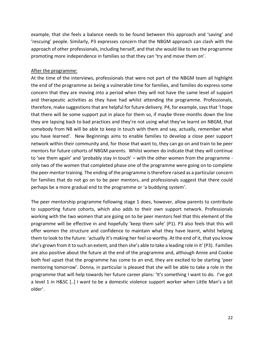example, that she feels a balance needs to be found between this approach and 'saving' and 'rescuing' people. Similarly, P3 expresses concern that the NBGM approach can clash with the approach of other professionals, including herself, and that she would like to see the programme promoting more independence in families so that they can 'try and move them on'.

#### After the programme:

At the time of the interviews, professionals that were not part of the NBGM team all highlight the end of the programme as being a vulnerable time for families, and families do express some concern that they are moving into a period when they will not have the same level of support and therapeutic activities as they have had whilst attending the programme. Professionals, therefore, make suggestions that are helpful for future delivery. P4, for example, says that 'I hope that there will be some support put in place for them so, if maybe three months down the line they are lapsing back to bad practices and they're not using what they've learnt on NBGM, that somebody from NB will be able to keep in touch with them and say, actually, remember what you have learned'. New Beginnings aims to enable families to develop a close peer support network within their community and, for those that want to, they can go on and train to be peer mentors for future cohorts of NBGM parents. Whilst women do indicate that they will continue to 'see them again' and 'probably stay in touch' – with the other women from the programme only two of the women that completed phase one of the programme were going on to complete the peer mentor training. The ending of the programme is therefore raised as a particular concern for families that do not go on to be peer mentors, and professionals suggest that there could perhaps be a more gradual end to the programme or 'a buddying system'.

The peer mentorship programme following stage 1 does, however, allow parents to contribute to supporting future cohorts, which also adds to their own support network. Professionals working with the two women that are going on to be peer mentors feel that this element of the programme will be effective in and hopefully 'keep them safe' (P1). P3 also feels that this will offer women the structure and confidence to maintain what they have learnt, whilst helping them to look to the future: 'actually it's making her feel so worthy. At the end of it, that you know she's grown from it to such an extent, and then she's able to take a leading role in it' (P3). Families are also positive about the future at the end of the programme and, although Annie and Cookie both feel upset that the programme has come to an end, they are excited to be starting 'peer mentoring tomorrow'. Donna, in particular is pleased that she will be able to take a role in the programme that will help towards her future career plans: 'It's something I want to do. I've got a level 1 in H&SC [..] I want to be a domestic violence support worker when Little Man's a bit older'.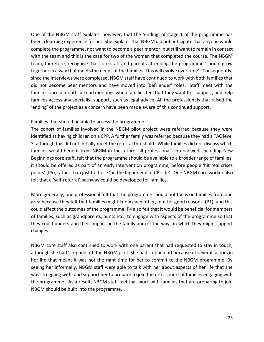One of the NBGM staff explains, however, that the 'ending' of stage 1 of the programme has been a learning experience for her. She explains that NBGM did not anticipate that anyone would complete the programme, not want to become a peer mentor, but still want to remain in contact with the team and this is the case for two of the women that completed the course. The NBGM team, therefore, recognise that core staff and parents attending the programme 'should grow together in a way that meets the needs of the families. This will evolve over time'. Consequently, since the interviews were completed, NBGM staff have continued to work with both families that did not become peer mentors and have moved into 'befriender' roles. Staff meet with the families once a month, attend meetings when families feel that they want this support, and help families access any specialist support, such as legal advice. All the professionals that raised the 'ending' of the project as a concern have been made aware of this continued support.

#### Families that should be able to access the programme

The cohort of families involved in the NBGM pilot project were referred because they were identified as having children on a CPP. A further family was referred because they had a TAC level 3, although this did not initially meet the referral threshold. While families did not discuss which families would benefit from NBGM in the future, all professionals interviewed, including New Beginnings core staff, felt that the programme should be available to a broader range of families; it should be offered as part of an early intervention programme, before people 'hit real crises points' (P5), rather than just to those 'on the higher end of CP side'. One NBGM core worker also felt that a 'self-referral' pathway could be developed for families.

More generally, one professional felt that the programme should not focus on families from one area because they felt that families might know each other, 'not for good reasons' (P1), and this could affect the outcomes of the programme. P4 also felt that it would be beneficial for members of families, such as grandparents, aunts etc., to engage with aspects of the programme so that they could understand their impact on the family and/or the ways in which they might support changes.

NBGM core staff also continued to work with one parent that had requested to stay in touch, although she had 'stepped off' the NBGM pilot. She had stepped off because of several factors in her life that meant it was not the right time for her to commit to the NBGM programme. By seeing her informally, NBGM staff were able to talk with her about aspects of her life that she was struggling with, and support her to prepare to join the next cohort of families engaging with the programme. As a result, NBGM staff feel that work with families that are preparing to join NBGM should be built into the programme.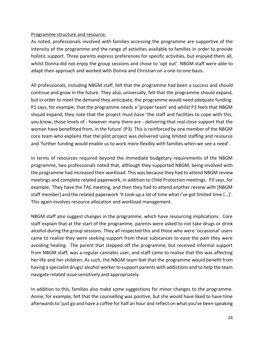#### Programme structure and resource:

As noted, professionals involved with families accessing the programme are supportive of the intensity of the programme and the range of activities available to families in order to provide holistic support. Three parents express preferences for specific activities, but enjoyed them all, whilst Donna did not enjoy the group sessions and chose to 'opt out'. NBGM staff were able to adapt their approach and worked with Donna and Christian on a one-to-one basis.

All professionals, including NBGM staff, felt that the programme had been a success and should continue and grow in the future. They also, universally, felt that the programme should expand, but in order to meet the demand they anticipate, the programme would need adequate funding. P1 says, for example, that the programme needs a 'proper team' and whilst P3 feels that NBGM should expand, they note that the project must have 'the staff and facilities to cope with this, you know, those levels of - however many there are - delivering that real close support that the woman have benefitted from, in the future' (P3). This is reinforced by one member of the NBGM core team who explains that the pilot project was delivered using limited staffing and resource and 'further funding would enable us to work more flexibly with families when we see a need'.

In terms of resources required beyond the immediate budgetary requirements of the NBGM programme, two professionals noted that, although they supported NBGM, being involved with the programme had increased their workload. This was because they had to attend NBGM review meetings and complete related paperwork, in addition to Child Protection meetings. P2 says, for example, 'They have the TAC meeting, and then they had to attend another review with [NBGM staff member] and the related paperwork 'It took up a lot of time what I've got limited time […]'. This again involves resource allocation and workload management.

NBGM staff also suggest changes in the programme, which have resourcing implications. Core staff explain that at the start of the programme, parents were asked to not take drugs or drink alcohol during the group sessions. They all respected this and those who were 'occasional' users came to realise they were seeking support from these substances to ease the pain they were avoiding healing. The parent that stepped off the programme, but received informal support from NBGM staff, was a regular cannabis user, and staff came to realise that this was affecting her life and her children. As such, the NBGM team feel that the programme would benefit from having a specialist drugs/ alcohol worker to support parents with addictions and to help the team navigate related issue sensitively and appropriately.

In addition to this, families also make some suggestions for minor changes to the programme. Annie, for example, felt that the counselling was positive, but she would have liked to have time afterwards to 'just go and have a coffee for half an hour and reflect on what you've been speaking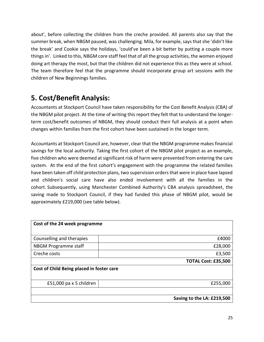about', before collecting the children from the creche provided. All parents also say that the summer break, when NBGM paused, was challenging. Mila, for example, says that she 'didn't like the break' and Cookie says the holidays, 'could've been a bit better by putting a couple more things in'. Linked to this, NBGM core staff feel that of all the group activities, the women enjoyed doing art therapy the most, but that the children did not experience this as they were at school. The team therefore feel that the programme should incorporate group art sessions with the children of New Beginnings families.

# **5. Cost/Benefit Analysis:**

Accountants at Stockport Council have taken responsibility for the Cost Benefit Analysis (CBA) of the NBGM pilot project. At the time of writing this report they felt that to understand the longerterm cost/benefit outcomes of NBGM, they should conduct their full analysis at a point when changes within families from the first cohort have been sustained in the longer term.

Accountants at Stockport Council are, however, clear that the NBGM programme makes financial savings for the local authority. Taking the first cohort of the NBGM pilot project as an example, five children who were deemed at significant risk of harm were prevented from entering the care system. At the end of the first cohort's engagement with the programme the related families have been taken off child protection plans, two supervision orders that were in place have lapsed and children's social care have also ended involvement with all the families in the cohort. Subsequently, using Manchester Combined Authority's CBA analysis spreadsheet, the saving made to Stockport Council, if they had funded this phase of NBGM pilot, would be approximately £219,000 (see table below).

| Cost of the 24 week programme             |                            |  |  |
|-------------------------------------------|----------------------------|--|--|
| Counselling and therapies                 | £4000                      |  |  |
| NBGM Programme staff                      | £28,000                    |  |  |
| Creche costs                              | £3,500                     |  |  |
|                                           | <b>TOTAL Cost: £35,500</b> |  |  |
| Cost of Child Being placed in foster care |                            |  |  |
|                                           |                            |  |  |
| £51,000 pa x 5 children                   | £255,000                   |  |  |
|                                           |                            |  |  |
|                                           | Saving to the LA: £219,500 |  |  |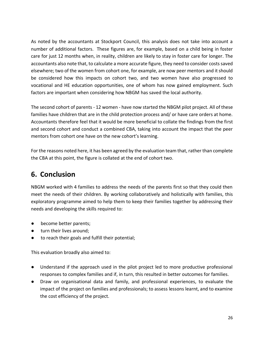As noted by the accountants at Stockport Council, this analysis does not take into account a number of additional factors. These figures are, for example, based on a child being in foster care for just 12 months when, in reality, children are likely to stay in foster care for longer. The accountants also note that, to calculate a more accurate figure, they need to consider costs saved elsewhere; two of the women from cohort one, for example, are now peer mentors and it should be considered how this impacts on cohort two, and two women have also progressed to vocational and HE education opportunities, one of whom has now gained employment. Such factors are important when considering how NBGM has saved the local authority.

The second cohort of parents - 12 women - have now started the NBGM pilot project. All of these families have children that are in the child protection process and/ or have care orders at home. Accountants therefore feel that it would be more beneficial to collate the findings from the first and second cohort and conduct a combined CBA, taking into account the impact that the peer mentors from cohort one have on the new cohort's learning.

For the reasons noted here, it has been agreed by the evaluation team that, rather than complete the CBA at this point, the figure is collated at the end of cohort two.

# **6. Conclusion**

NBGM worked with 4 families to address the needs of the parents first so that they could then meet the needs of their children. By working collaboratively and holistically with families, this exploratory programme aimed to help them to keep their families together by addressing their needs and developing the skills required to:

- become better parents;
- turn their lives around;
- to reach their goals and fulfill their potential;

This evaluation broadly also aimed to:

- Understand if the approach used in the pilot project led to more productive professional responses to complex families and if, in turn, this resulted in better outcomes for families.
- Draw on organisational data and family, and professional experiences, to evaluate the impact of the project on families and professionals; to assess lessons learnt, and to examine the cost efficiency of the project.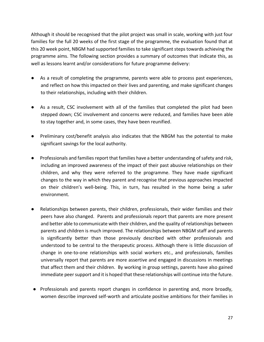Although it should be recognised that the pilot project was small in scale, working with just four families for the full 20 weeks of the first stage of the programme, the evaluation found that at this 20 week point, NBGM had supported families to take significant steps towards achieving the programme aims. The following section provides a summary of outcomes that indicate this, as well as lessons learnt and/or considerations for future programme delivery:

- As a result of completing the programme, parents were able to process past experiences, and reflect on how this impacted on their lives and parenting, and make significant changes to their relationships, including with their children.
- As a result, CSC involvement with all of the families that completed the pilot had been stepped down; CSC involvement and concerns were reduced, and families have been able to stay together and, in some cases, they have been reunified.
- Preliminary cost/benefit analysis also indicates that the NBGM has the potential to make significant savings for the local authority.
- Professionals and families report that families have a better understanding of safety and risk, including an improved awareness of the impact of their past abusive relationships on their children, and why they were referred to the programme. They have made significant changes to the way in which they parent and recognise that previous approaches impacted on their children's well-being. This, in turn, has resulted in the home being a safer environment.
- Relationships between parents, their children, professionals, their wider families and their peers have also changed. Parents and professionals report that parents are more present and better able to communicate with their children, and the quality of relationships between parents and children is much improved. The relationships between NBGM staff and parents is significantly better than those previously described with other professionals and understood to be central to the therapeutic process. Although there is little discussion of change in one-to-one relationships with social workers etc., and professionals, families universally report that parents are more assertive and engaged in discussions in meetings that affect them and their children. By working in group settings, parents have also gained immediate peer support and it is hoped that these relationships will continue into the future.
- Professionals and parents report changes in confidence in parenting and, more broadly, women describe improved self-worth and articulate positive ambitions for their families in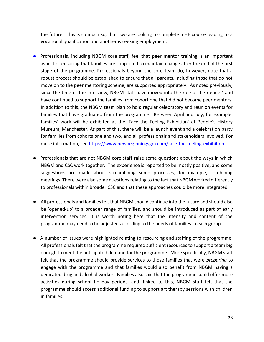the future. This is so much so, that two are looking to complete a HE course leading to a vocational qualification and another is seeking employment.

- Professionals, including NBGM core staff, feel that peer mentor training is an important aspect of ensuring that families are supported to maintain change after the end of the first stage of the programme. Professionals beyond the core team do, however, note that a robust process should be established to ensure that all parents, including those that do not move on to the peer mentoring scheme, are supported appropriately. As noted previously, since the time of the interview, NBGM staff have moved into the role of 'befriender' and have continued to support the families from cohort one that did not become peer mentors. In addition to this, the NBGM team plan to hold regular celebratory and reunion events for families that have graduated from the programme. Between April and July, for example, families' work will be exhibited at the 'Face the Feeling Exhibition' at People's History Museum, Manchester. As part of this, there will be a launch event and a celebration party for families from cohorts one and two, and all professionals and stakeholders involved. For more information, see<https://www.newbeginningsgm.com/face-the-feeling-exhibition>
- Professionals that are not NBGM core staff raise some questions about the ways in which NBGM and CSC work together. The experience is reported to be mostly positive, and some suggestions are made about streamlining some processes, for example, combining meetings. There were also some questions relating to the fact that NBGM worked differently to professionals within broader CSC and that these approaches could be more integrated.
- All professionals and families felt that NBGM should continue into the future and should also be 'opened-up' to a broader range of families, and should be introduced as part of early intervention services. It is worth noting here that the intensity and content of the programme may need to be adjusted according to the needs of families in each group.
- A number of issues were highlighted relating to resourcing and staffing of the programme. All professionals felt that the programme required sufficient resources to support a team big enough to meet the anticipated demand for the programme. More specifically, NBGM staff felt that the programme should provide services to those families that were *preparing* to engage with the programme and that families would also benefit from NBGM having a dedicated drug and alcohol worker. Families also said that the programme could offer more activities during school holiday periods, and, linked to this, NBGM staff felt that the programme should access additional funding to support art therapy sessions with children in families.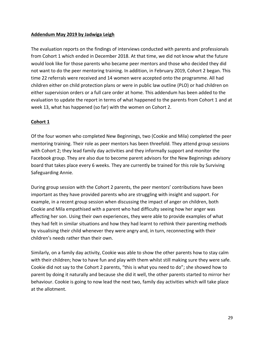#### **Addendum May 2019 by Jadwiga Leigh**

The evaluation reports on the findings of interviews conducted with parents and professionals from Cohort 1 which ended in December 2018. At that time, we did not know what the future would look like for those parents who became peer mentors and those who decided they did not want to do the peer mentoring training. In addition, in February 2019, Cohort 2 began. This time 22 referrals were received and 14 women were accepted onto the programme. All had children either on child protection plans or were in public law outline (PLO) or had children on either supervision orders or a full care order at home. This addendum has been added to the evaluation to update the report in terms of what happened to the parents from Cohort 1 and at week 13, what has happened (so far) with the women on Cohort 2.

#### **Cohort 1**

Of the four women who completed New Beginnings, two (Cookie and Mila) completed the peer mentoring training. Their role as peer mentors has been threefold. They attend group sessions with Cohort 2; they lead family day activities and they informally support and monitor the Facebook group. They are also due to become parent advisors for the New Beginnings advisory board that takes place every 6 weeks. They are currently be trained for this role by Surviving Safeguarding Annie.

During group session with the Cohort 2 parents, the peer mentors' contributions have been important as they have provided parents who are struggling with insight and support. For example, in a recent group session when discussing the impact of anger on children, both Cookie and Mila empathised with a parent who had difficulty seeing how her anger was affecting her son. Using their own experiences, they were able to provide examples of what they had felt in similar situations and how they had learnt to rethink their parenting methods by visualising their child whenever they were angry and, in turn, reconnecting with their children's needs rather than their own.

Similarly, on a family day activity, Cookie was able to show the other parents how to stay calm with their children; how to have fun and play with them whilst still making sure they were safe. Cookie did not say to the Cohort 2 parents, "this is what you need to do"; she showed how to parent by doing it naturally and because she did it well, the other parents started to mirror her behaviour. Cookie is going to now lead the next two, family day activities which will take place at the allotment.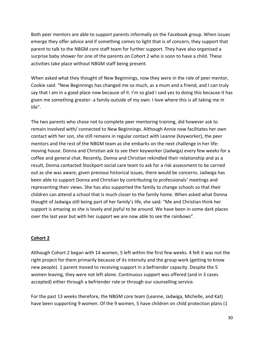Both peer mentors are able to support parents informally on the Facebook group. When issues emerge they offer advice and if something comes to light that is of concern, they support that parent to talk to the NBGM core staff team for further support. They have also organised a surprise baby shower for one of the parents on Cohort 2 who is soon to have a child. These activities take place without NBGM staff being present.

When asked what they thought of New Beginnings, now they were in the role of peer mentor, Cookie said: "New Beginnings has changed me so much, as a mum and a friend, and I can truly say that I am in a good place now because of it. I'm so glad I said yes to doing this because it has given me something greater- a family outside of my own. I love where this is all taking me in life".

The two parents who chose not to complete peer mentoring training, did however ask to remain involved with/ connected to New Beginnings. Although Annie now facilitates her own contact with her son, she still remains in regular contact with Leanne (keyworker), the peer mentors and the rest of the NBGM team as she embarks on the next challenge in her life: moving house. Donna and Christian ask to see their keyworker (Jadwiga) every few weeks for a coffee and general chat. Recently, Donna and Christian rekindled their relationship and as a result, Donna contacted Stockport social care team to ask for a risk assessment to be carried out as she was aware, given previous historical issues, there would be concerns. Jadwiga has been able to support Donna and Christian by contributing to professionals' meetings and representing their views. She has also supported the family to change schools so that their children can attend a school that is much closer to the family home. When asked what Donna thought of Jadwiga still being part of her family's life, she said: "Me and Christian think her support is amazing as she is lovely and joyful to be around. We have been in some dark places over the last year but with her support we are now able to see the rainbows".

#### **Cohort 2**

Although Cohort 2 began with 14 women, 5 left within the first few weeks. 4 felt it was not the right project for them primarily because of its intensity and the group work (getting to know new people). 1 parent moved to receiving support in a befriender capacity. Despite the 5 women leaving, they were not left alone. Continuous support was offered (and in 3 cases accepted) either through a befriender role or through our counselling service.

For the past 13 weeks therefore, the NBGM core team (Leanne, Jadwiga, Michelle, and Kat) have been supporting 9 women. Of the 9 women, 5 have children on child protection plans (1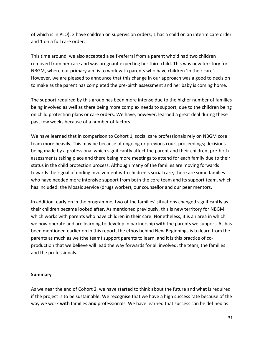of which is in PLO); 2 have children on supervision orders; 1 has a child on an interim care order and 1 on a full care order.

This time around, we also accepted a self-referral from a parent who'd had two children removed from her care and was pregnant expecting her third child. This was new territory for NBGM, where our primary aim is to work with parents who have children 'in their care'. However, we are pleased to announce that this change in our approach was a good to decision to make as the parent has completed the pre-birth assessment and her baby is coming home.

The support required by this group has been more intense due to the higher number of families being involved as well as there being more complex needs to support, due to the children being on child protection plans or care orders. We have, however, learned a great deal during these past few weeks because of a number of factors.

We have learned that in comparison to Cohort 1, social care professionals rely on NBGM core team more heavily. This may be because of ongoing or previous court proceedings; decisions being made by a professional which significantly affect the parent and their children, pre-birth assessments taking place and there being more meetings to attend for each family due to their status in the child protection process. Although many of the families are moving forwards towards their goal of ending involvement with children's social care, there are some families who have needed more intensive support from both the core team and its support team, which has included: the Mosaic service (drugs worker), our counsellor and our peer mentors.

In addition, early on in the programme, two of the families' situations changed significantly as their children became looked after. As mentioned previously, this is new territory for NBGM which works with parents who have children in their care. Nonetheless, it is an area in which we now operate and are learning to develop in partnership with the parents we support. As has been mentioned earlier on in this report, the ethos behind New Beginnings is to learn from the parents as much as we (the team) support parents to learn, and it is this practice of coproduction that we believe will lead the way forwards for all involved: the team, the families and the professionals.

#### **Summary**

As we near the end of Cohort 2, we have started to think about the future and what is required if the project is to be sustainable. We recognise that we have a high success rate because of the way we work **with** families **and** professionals. We have learned that success can be defined as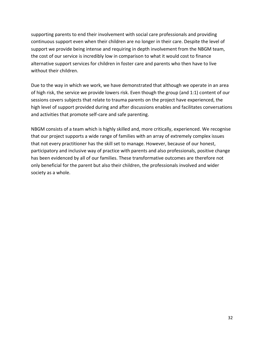supporting parents to end their involvement with social care professionals and providing continuous support even when their children are no longer in their care. Despite the level of support we provide being intense and requiring in depth involvement from the NBGM team, the cost of our service is incredibly low in comparison to what it would cost to finance alternative support services for children in foster care and parents who then have to live without their children.

Due to the way in which we work, we have demonstrated that although we operate in an area of high risk, the service we provide lowers risk. Even though the group (and 1:1) content of our sessions covers subjects that relate to trauma parents on the project have experienced, the high level of support provided during and after discussions enables and facilitates conversations and activities that promote self-care and safe parenting.

NBGM consists of a team which is highly skilled and, more critically, experienced. We recognise that our project supports a wide range of families with an array of extremely complex issues that not every practitioner has the skill set to manage. However, because of our honest, participatory and inclusive way of practice with parents and also professionals, positive change has been evidenced by all of our families. These transformative outcomes are therefore not only beneficial for the parent but also their children, the professionals involved and wider society as a whole.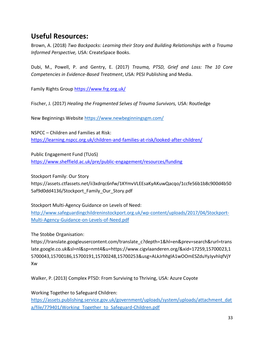## **Useful Resources:**

Brown, A. (2018) *Two Backpacks: Learning their Story and Building Relationships with a Trauma Informed Perspective,* USA: CreateSpace Books.

Dubi, M., Powell, P. and Gentry, E. (2017) *Trauma, PTSD, Grief and Loss: The 10 Core Competencies in Evidence-Based Treatment*, USA: PESI Publishing and Media.

Family Rights Group<https://www.frg.org.uk/>

Fischer, J. (2017) *Healing the Fragmented Selves of Trauma Survivors,* USA: Routledge

New Beginnings Websit[e https://www.newbeginningsgm.com/](https://www.newbeginningsgm.com/)

NSPCC – Children and Families at Risk: <https://learning.nspcc.org.uk/children-and-families-at-risk/looked-after-children/>

Public Engagement Fund (TUoS) <https://www.sheffield.ac.uk/pre/public-engagement/resources/funding>

Stockport Family: Our Story [https://assets.ctfassets.net/ii3xdrqc6nfw/1KYmvVLEEsaKyAKuwQacqo/1ccfe56b1b8c900d4b50](https://assets.ctfassets.net/ii3xdrqc6nfw/1KYmvVLEEsaKyAKuwQacqo/1ccfe56b1b8c900d4b505af9d0dd4136/Stockport_Family_Our_Story.pdf) [5af9d0dd4136/Stockport\\_Family\\_Our\\_Story.pdf](https://assets.ctfassets.net/ii3xdrqc6nfw/1KYmvVLEEsaKyAKuwQacqo/1ccfe56b1b8c900d4b505af9d0dd4136/Stockport_Family_Our_Story.pdf)

Stockport Multi-Agency Guidance on Levels of Need: [http://www.safeguardingchildreninstockport.org.uk/wp-content/uploads/2017/04/Stockport-](http://www.safeguardingchildreninstockport.org.uk/wp-content/uploads/2017/04/Stockport-Multi-Agency-Guidance-on-Levels-of-Need.pdf)[Multi-Agency-Guidance-on-Levels-of-Need.pdf](http://www.safeguardingchildreninstockport.org.uk/wp-content/uploads/2017/04/Stockport-Multi-Agency-Guidance-on-Levels-of-Need.pdf)

The Stobbe Organisation:

[https://translate.googleusercontent.com/translate\\_c?depth=1&hl=en&prev=search&rurl=trans](https://translate.googleusercontent.com/translate_c?depth=1&hl=en&prev=search&rurl=translate.google.co.uk&sl=nl&sp=nmt4&u=https://www.cigvlaanderen.org/&xid=17259,15700023,15700043,15700186,15700191,15700248,15700253&usg=ALkJrhhglA1wOOmESZduYyJyvhlqfVjYXw) [late.google.co.uk&sl=nl&sp=nmt4&u=https://www.cigvlaanderen.org/&xid=17259,15700023,1](https://translate.googleusercontent.com/translate_c?depth=1&hl=en&prev=search&rurl=translate.google.co.uk&sl=nl&sp=nmt4&u=https://www.cigvlaanderen.org/&xid=17259,15700023,15700043,15700186,15700191,15700248,15700253&usg=ALkJrhhglA1wOOmESZduYyJyvhlqfVjYXw) [5700043,15700186,15700191,15700248,15700253&usg=ALkJrhhglA1wOOmESZduYyJyvhlqfVjY](https://translate.googleusercontent.com/translate_c?depth=1&hl=en&prev=search&rurl=translate.google.co.uk&sl=nl&sp=nmt4&u=https://www.cigvlaanderen.org/&xid=17259,15700023,15700043,15700186,15700191,15700248,15700253&usg=ALkJrhhglA1wOOmESZduYyJyvhlqfVjYXw) [Xw](https://translate.googleusercontent.com/translate_c?depth=1&hl=en&prev=search&rurl=translate.google.co.uk&sl=nl&sp=nmt4&u=https://www.cigvlaanderen.org/&xid=17259,15700023,15700043,15700186,15700191,15700248,15700253&usg=ALkJrhhglA1wOOmESZduYyJyvhlqfVjYXw)

Walker, P. (2013) Complex PTSD: From Surviving to Thriving, USA: Azure Coyote

Working Together to Safeguard Children: [https://assets.publishing.service.gov.uk/government/uploads/system/uploads/attachment\\_dat](https://assets.publishing.service.gov.uk/government/uploads/system/uploads/attachment_data/file/779401/Working_Together_to_Safeguard-Children.pdf) [a/file/779401/Working\\_Together\\_to\\_Safeguard-Children.pdf](https://assets.publishing.service.gov.uk/government/uploads/system/uploads/attachment_data/file/779401/Working_Together_to_Safeguard-Children.pdf)